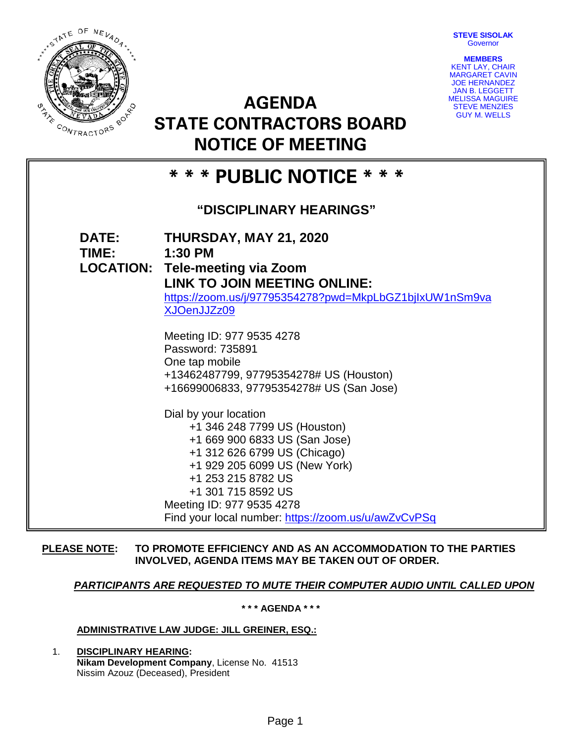**STEVE SISOLAK Governor** 



**AGENDA STATE CONTRACTORS BOARD NOTICE OF MEETING**



# **\* \* \* PUBLIC NOTICE \* \* \* "DISCIPLINARY HEARINGS" DATE: THURSDAY, MAY 21, 2020 TIME: 1:30 PM LOCATION: Tele-meeting via Zoom LINK TO JOIN MEETING ONLINE:**  [https://zoom.us/j/97795354278?pwd=MkpLbGZ1bjIxUW1nSm9va](https://zoom.us/j/97795354278?pwd=MkpLbGZ1bjIxUW1nSm9vaXJOenJJZz09) [XJOenJJZz09](https://zoom.us/j/97795354278?pwd=MkpLbGZ1bjIxUW1nSm9vaXJOenJJZz09) Meeting ID: 977 9535 4278 Password: 735891 One tap mobile +13462487799, 97795354278# US (Houston) +16699006833, 97795354278# US (San Jose) Dial by your location +1 346 248 7799 US (Houston) +1 669 900 6833 US (San Jose) +1 312 626 6799 US (Chicago) +1 929 205 6099 US (New York) +1 253 215 8782 US +1 301 715 8592 US Meeting ID: 977 9535 4278 Find your local number:<https://zoom.us/u/awZvCvPSq>

## **PLEASE NOTE: TO PROMOTE EFFICIENCY AND AS AN ACCOMMODATION TO THE PARTIES INVOLVED, AGENDA ITEMS MAY BE TAKEN OUT OF ORDER.**

# *PARTICIPANTS ARE REQUESTED TO MUTE THEIR COMPUTER AUDIO UNTIL CALLED UPON*

**\* \* \* AGENDA \* \* \***

## **ADMINISTRATIVE LAW JUDGE: JILL GREINER, ESQ.:**

1. **DISCIPLINARY HEARING: Nikam Development Company**, License No. 41513 Nissim Azouz (Deceased), President